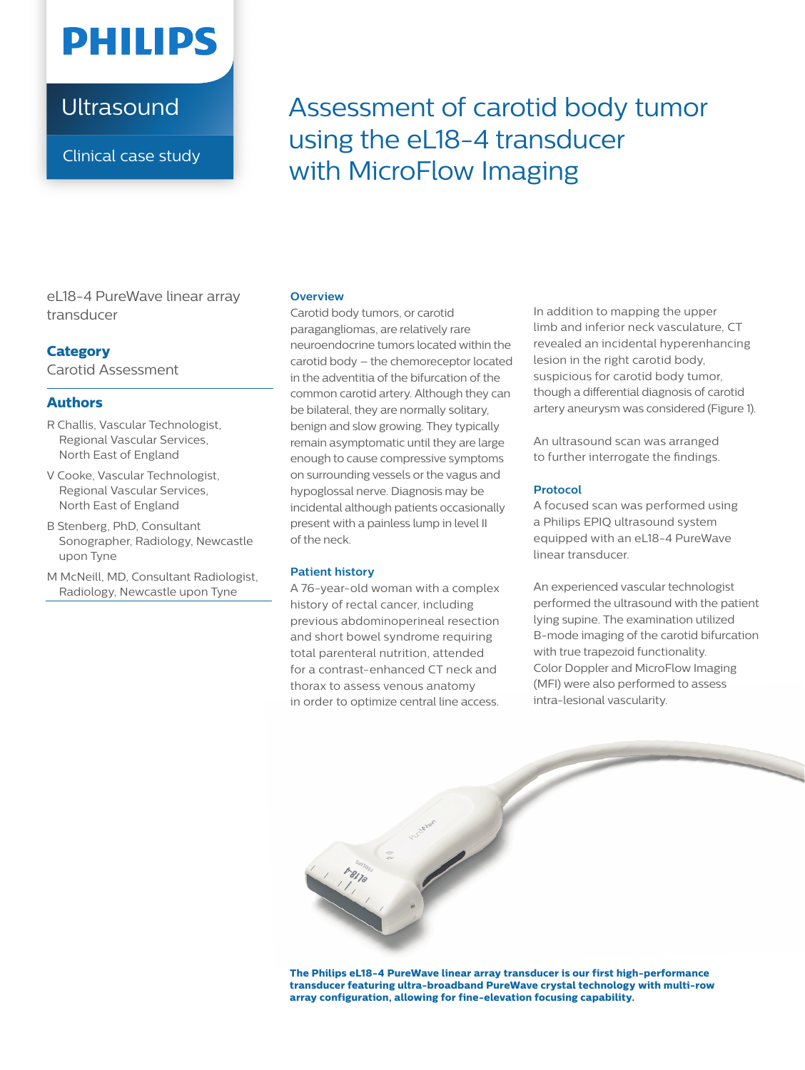# **PHILIPS**

## **Ultrasound**

Clinical case study

Assessment of carotid body tumor using the eL18-4 transducer with MicroFlow Imaging

eL18-4 PureWave linear array transducer

#### **Category**

Carotid Assessment

#### **Authors**

- R Challis, Vascular Technologist, Regional Vascular Services, North East of England
- V Cooke, Vascular Technologist, Regional Vascular Services, North East of England
- B Stenberg, PhD, Consultant Sonographer, Radiology, Newcastle upon Tyne
- M McNeill, MD, Consultant Radiologist, Radiology, Newcastle upon Tyne

#### **Overview**

Carotid body tumors, or carotid paragangliomas, are relatively rare neuroendocrine tumors located within the carotid body – the chemoreceptor located in the adventitia of the bifurcation of the common carotid artery. Although they can be bilateral, they are normally solitary, benign and slow growing. They typically remain asymptomatic until they are large enough to cause compressive symptoms on surrounding vessels or the vagus and hypoglossal nerve. Diagnosis may be incidental although patients occasionally present with a painless lump in level II of the neck.

#### **Patient history**

A 76-year-old woman with a complex history of rectal cancer, including previous abdominoperineal resection and short bowel syndrome requiring total parenteral nutrition, attended for a contrast-enhanced CT neck and thorax to assess venous anatomy in order to optimize central line access.

In addition to mapping the upper limb and inferior neck vasculature, CT revealed an incidental hyperenhancing lesion in the right carotid body, suspicious for carotid body tumor, though a differential diagnosis of carotid artery aneurysm was considered (Figure 1).

An ultrasound scan was arranged to further interrogate the findings.

#### **Protocol**

A focused scan was performed using a Philips EPIQ ultrasound system equipped with an eL18-4 PureWave linear transducer.

An experienced vascular technologist performed the ultrasound with the patient lying supine. The examination utilized B-mode imaging of the carotid bifurcation with true trapezoid functionality. Color Doppler and MicroFlow Imaging (MFI) were also performed to assess intra-lesional vascularity.



**The Philips eL18-4 PureWave linear array transducer is our first high-performance transducer featuring ultra-broadband PureWave crystal technology with multi-row array configuration, allowing for fine-elevation focusing capability.**